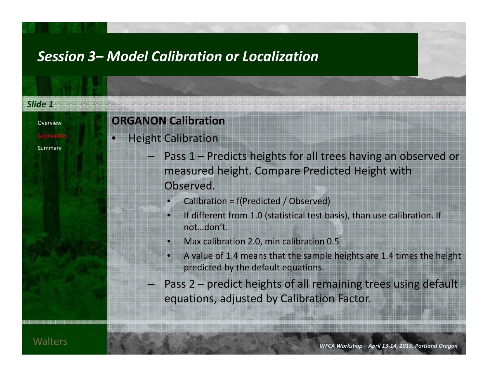| Slide 1               |                                                                                                                                                                                                                                                                                                                                                                                                                                                                                                                              |  |  |
|-----------------------|------------------------------------------------------------------------------------------------------------------------------------------------------------------------------------------------------------------------------------------------------------------------------------------------------------------------------------------------------------------------------------------------------------------------------------------------------------------------------------------------------------------------------|--|--|
| Overview              | <b>ORGANON Calibration</b>                                                                                                                                                                                                                                                                                                                                                                                                                                                                                                   |  |  |
| Approaches<br>Summary | <b>Height Calibration</b><br>- Pass 1 – Predicts heights for all trees having an observed or<br>measured height. Compare Predicted Height with<br>Observed.<br>Calibration = f(Predicted / Observed)<br>If different from 1.0 (statistical test basis), than use calibration. If<br>notdon't.<br>Max calibration 2.0, min calibration 0.5<br>A value of 1.4 means that the sample heights are 1.4 times the height<br>predicted by the default equations.<br>- Pass 2 – predict heights of all remaining trees using default |  |  |
|                       | equations, adjusted by Calibration Factor.                                                                                                                                                                                                                                                                                                                                                                                                                                                                                   |  |  |
|                       |                                                                                                                                                                                                                                                                                                                                                                                                                                                                                                                              |  |  |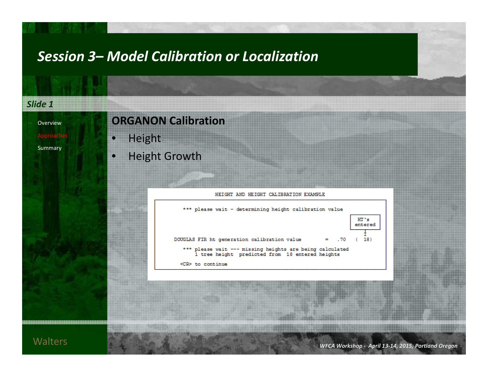| <b>Height Growth</b><br>HEIGHT AND HEIGHT CALIBRATION EXAMPLE<br>*** please wait - determining height calibration value<br>HT's<br>entered<br>DOUGLAS FIR ht generation calibration value<br>18)<br>. 70<br>н<br>*** please wait --- missing heights are being calculated<br>1 tree height predicted from 18 entered heights | <b>ORGANON Calibration</b><br>Height<br>$\bullet$ |
|------------------------------------------------------------------------------------------------------------------------------------------------------------------------------------------------------------------------------------------------------------------------------------------------------------------------------|---------------------------------------------------|
|                                                                                                                                                                                                                                                                                                                              |                                                   |
|                                                                                                                                                                                                                                                                                                                              |                                                   |
| <cr> to continue</cr>                                                                                                                                                                                                                                                                                                        |                                                   |
|                                                                                                                                                                                                                                                                                                                              |                                                   |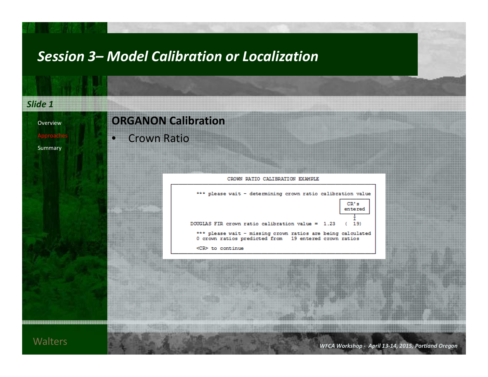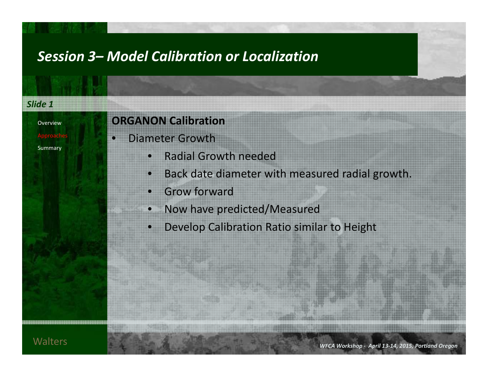#### *Slide 1*OverviewApproaches Summary **ORGANON Calibration** • Diameter Growth $\bullet$  Radial Growth needed • Back date diameter with measured radial growth. • Grow forward • Now have predicted/Measured • Develop Calibration Ratio similar to Height **Walters**  *WFCAWorkshop ‐ April 13‐14, 2015, Portland Oregon*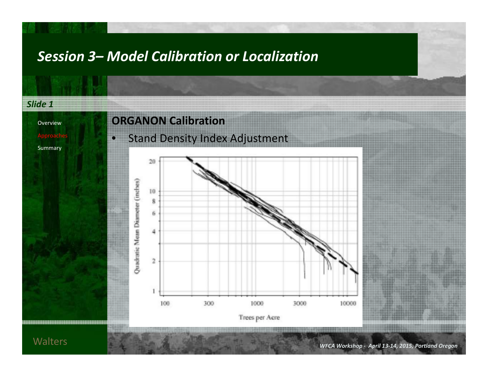